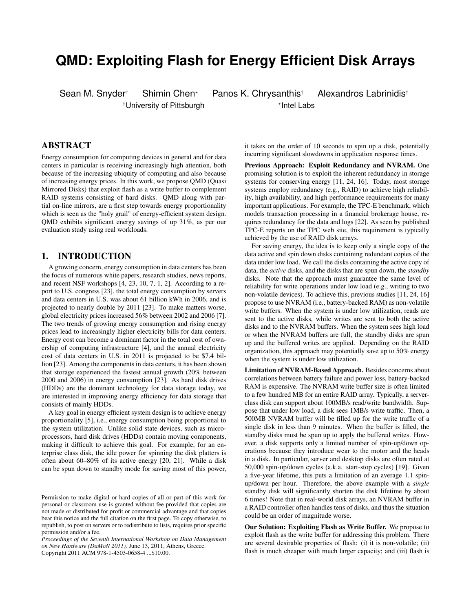# **QMD: Exploiting Flash for Energy Efficient Disk Arrays**

<sup>†</sup>University of Pittsburgh

Sean M. Snyder† Shimin Chen? Panos K. Chrysanthis† Alexandros Labrinidis†

\*Intel Labs

# ABSTRACT

Energy consumption for computing devices in general and for data centers in particular is receiving increasingly high attention, both because of the increasing ubiquity of computing and also because of increasing energy prices. In this work, we propose QMD (Quasi Mirrored Disks) that exploit flash as a write buffer to complement RAID systems consisting of hard disks. QMD along with partial on-line mirrors, are a first step towards energy proportionality which is seen as the "holy grail" of energy-efficient system design. QMD exhibits significant energy savings of up 31%, as per our evaluation study using real workloads.

#### 1. INTRODUCTION

A growing concern, energy consumption in data centers has been the focus of numerous white papers, research studies, news reports, and recent NSF workshops [4, 23, 10, 7, 1, 2]. According to a report to U.S. congress [23], the total energy consumption by servers and data centers in U.S. was about 61 billion kWh in 2006, and is projected to nearly double by 2011 [23]. To make matters worse, global electricity prices increased 56% between 2002 and 2006 [7]. The two trends of growing energy consumption and rising energy prices lead to increasingly higher electricity bills for data centers. Energy cost can become a dominant factor in the total cost of ownership of computing infrastructure [4], and the annual electricity cost of data centers in U.S. in 2011 is projected to be \$7.4 billion [23]. Among the components in data centers, it has been shown that storage experienced the fastest annual growth (20% between 2000 and 2006) in energy consumption [23]. As hard disk drives (HDDs) are the dominant technology for data storage today, we are interested in improving energy efficiency for data storage that consists of mainly HDDs.

A key goal in energy efficient system design is to achieve energy proportionality [5], i.e., energy consumption being proportional to the system utilization. Unlike solid state devices, such as microprocessors, hard disk drives (HDDs) contain moving components, making it difficult to achieve this goal. For example, for an enterprise class disk, the idle power for spinning the disk platters is often about 60–80% of its active energy [20, 21]. While a disk can be spun down to standby mode for saving most of this power,

it takes on the order of 10 seconds to spin up a disk, potentially incurring significant slowdowns in application response times.

Previous Approach: Exploit Redundancy and NVRAM. One promising solution is to exploit the inherent redundancy in storage systems for conserving energy [11, 24, 16]. Today, most storage systems employ redundancy (e.g., RAID) to achieve high reliability, high availability, and high performance requirements for many important applications. For example, the TPC-E benchmark, which models transaction processing in a financial brokerage house, requires redundancy for the data and logs [22]. As seen by published TPC-E reports on the TPC web site, this requirement is typically achieved by the use of RAID disk arrays.

For saving energy, the idea is to keep only a single copy of the data active and spin down disks containing redundant copies of the data under low load. We call the disks containing the active copy of data, the *active* disks, and the disks that are spun down, the *standby* disks. Note that the approach must guarantee the same level of reliability for write operations under low load (e.g., writing to two non-volatile devices). To achieve this, previous studies [11, 24, 16] propose to use NVRAM (i.e., battery-backed RAM) as non-volatile write buffers. When the system is under low utilization, reads are sent to the active disks, while writes are sent to both the active disks and to the NVRAM buffers. When the system sees high load or when the NVRAM buffers are full, the standby disks are spun up and the buffered writes are applied. Depending on the RAID organization, this approach may potentially save up to 50% energy when the system is under low utilization.

Limitation of NVRAM-Based Approach. Besides concerns about correlations between battery failure and power loss, battery-backed RAM is expensive. The NVRAM write buffer size is often limited to a few hundred MB for an entire RAID array. Typically, a serverclass disk can support about 100MB/s read/write bandwidth. Suppose that under low load, a disk sees 1MB/s write traffic. Then, a 500MB NVRAM buffer will be filled up for the write traffic of a single disk in less than 9 minutes. When the buffer is filled, the standby disks must be spun up to apply the buffered writes. However, a disk supports only a limited number of spin-up/down operations because they introduce wear to the motor and the heads in a disk. In particular, server and desktop disks are often rated at 50,000 spin-up/down cycles (a.k.a. start-stop cycles) [19]. Given a five-year lifetime, this puts a limitation of an average 1.1 spinup/down per hour. Therefore, the above example with a *single* standby disk will significantly shorten the disk lifetime by about 6 times! Note that in real-world disk arrays, an NVRAM buffer in a RAID controller often handles tens of disks, and thus the situation could be an order of magnitude worse.

Our Solution: Exploiting Flash as Write Buffer. We propose to exploit flash as the write buffer for addressing this problem. There are several desirable properties of flash: (i) it is non-volatile; (ii) flash is much cheaper with much larger capacity; and (iii) flash is

Permission to make digital or hard copies of all or part of this work for personal or classroom use is granted without fee provided that copies are not made or distributed for profit or commercial advantage and that copies bear this notice and the full citation on the first page. To copy otherwise, to republish, to post on servers or to redistribute to lists, requires prior specific permission and/or a fee.

*Proceedings of the Seventh International Workshop on Data Management on New Hardware (DaMoN 2011),* June 13, 2011, Athens, Greece. Copyright 2011 ACM 978-1-4503-0658-4 ...\$10.00.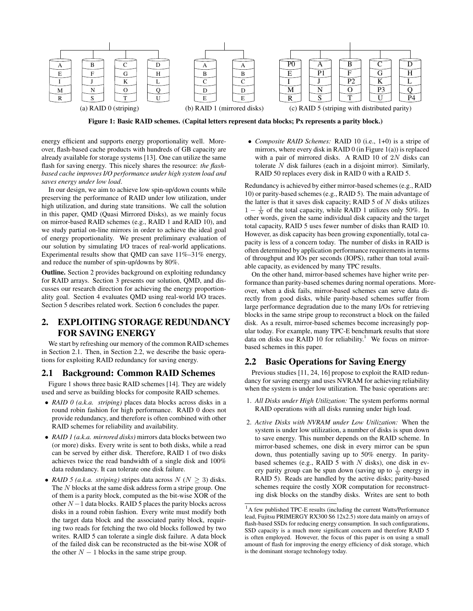

Figure 1: Basic RAID schemes. (Capital letters represent data blocks; Px represents a parity block.)

energy efficient and supports energy proportionality well. Moreover, flash-based cache products with hundreds of GB capacity are already available for storage systems [13]. One can utilize the same flash for saving energy. This nicely shares the resource: *the flashbased cache improves I/O performance under high system load and saves energy under low load*.

In our design, we aim to achieve low spin-up/down counts while preserving the performance of RAID under low utilization, under high utilization, and during state transitions. We call the solution in this paper, QMD (Quasi Mirrored Disks), as we mainly focus on mirror-based RAID schemes (e.g., RAID 1 and RAID 10), and we study partial on-line mirrors in order to achieve the ideal goal of energy proportionality. We present preliminary evaluation of our solution by simulating I/O traces of real-world applications. Experimental results show that QMD can save 11%–31% energy, and reduce the number of spin-up/downs by 80%.

Outline. Section 2 provides background on exploiting redundancy for RAID arrays. Section 3 presents our solution, QMD, and discusses our research direction for achieving the energy proportionality goal. Section 4 evaluates QMD using real-world I/O traces. Section 5 describes related work. Section 6 concludes the paper.

# 2. EXPLOITING STORAGE REDUNDANCY FOR SAVING ENERGY

We start by refreshing our memory of the common RAID schemes in Section 2.1. Then, in Section 2.2, we describe the basic operations for exploiting RAID redundancy for saving energy.

#### 2.1 Background: Common RAID Schemes

Figure 1 shows three basic RAID schemes [14]. They are widely used and serve as building blocks for composite RAID schemes.

- *RAID 0 (a.k.a. striping)* places data blocks across disks in a round robin fashion for high performance. RAID 0 does not provide redundancy, and therefore is often combined with other RAID schemes for reliability and availability.
- *RAID 1 (a.k.a. mirrored disks)* mirrors data blocks between two (or more) disks. Every write is sent to both disks, while a read can be served by either disk. Therefore, RAID 1 of two disks achieves twice the read bandwidth of a single disk and 100% data redundancy. It can tolerate one disk failure.
- *RAID 5 (a.k.a. striping)* stripes data across  $N (N \geq 3)$  disks. The N blocks at the same disk address form a stripe group. One of them is a parity block, computed as the bit-wise XOR of the other  $N-1$  data blocks. RAID 5 places the parity blocks across disks in a round robin fashion. Every write must modify both the target data block and the associated parity block, requiring two reads for fetching the two old blocks followed by two writes. RAID 5 can tolerate a single disk failure. A data block of the failed disk can be reconstructed as the bit-wise XOR of the other  $N - 1$  blocks in the same stripe group.

• *Composite RAID Schemes:* RAID 10 (i.e., 1+0) is a stripe of mirrors, where every disk in RAID 0 (in Figure 1(a)) is replaced with a pair of mirrored disks. A RAID 10 of  $2N$  disks can tolerate  $N$  disk failures (each in a disjoint mirror). Similarly, RAID 50 replaces every disk in RAID 0 with a RAID 5.

Redundancy is achieved by either mirror-based schemes (e.g., RAID 10) or parity-based schemes (e.g., RAID 5). The main advantage of the latter is that it saves disk capacity; RAID  $5$  of  $N$  disks utilizes  $1 - \frac{1}{N}$  of the total capacity, while RAID 1 utilizes only 50%. In other words, given the same individual disk capacity and the target total capacity, RAID 5 uses fewer number of disks than RAID 10. However, as disk capacity has been growing exponentially, total capacity is less of a concern today. The number of disks in RAID is often determined by application performance requirements in terms of throughput and IOs per seconds (IOPS), rather than total available capacity, as evidenced by many TPC results.

On the other hand, mirror-based schemes have higher write performance than parity-based schemes during normal operations. Moreover, when a disk fails, mirror-based schemes can serve data directly from good disks, while parity-based schemes suffer from large performance degradation due to the many I/Os for retrieving blocks in the same stripe group to reconstruct a block on the failed disk. As a result, mirror-based schemes become increasingly popular today. For example, many TPC-E benchmark results that store data on disks use RAID 10 for reliability.<sup>1</sup> We focus on mirrorbased schemes in this paper.

## 2.2 Basic Operations for Saving Energy

Previous studies [11, 24, 16] propose to exploit the RAID redundancy for saving energy and uses NVRAM for achieving reliability when the system is under low utilization. The basic operations are:

- 1. *All Disks under High Utilization:* The system performs normal RAID operations with all disks running under high load.
- 2. *Active Disks with NVRAM under Low Utilization:* When the system is under low utilization, a number of disks is spun down to save energy. This number depends on the RAID scheme. In mirror-based schemes, one disk in every mirror can be spun down, thus potentially saving up to 50% energy. In paritybased schemes (e.g., RAID 5 with  $N$  disks), one disk in every parity group can be spun down (saving up to  $\frac{1}{N}$  energy in RAID 5). Reads are handled by the active disks; parity-based schemes require the costly XOR computation for reconstructing disk blocks on the standby disks. Writes are sent to both

<sup>1</sup>A few published TPC-E results (including the current Watts/Performance lead, Fujitsu PRIMERGY RX300 S6 12x2.5) store data mainly on arrays of flash-based SSDs for reducing energy consumption. In such configurations, SSD capacity is a much more significant concern and therefore RAID 5 is often employed. However, the focus of this paper is on using a small amount of flash for improving the energy efficiency of disk storage, which is the dominant storage technology today.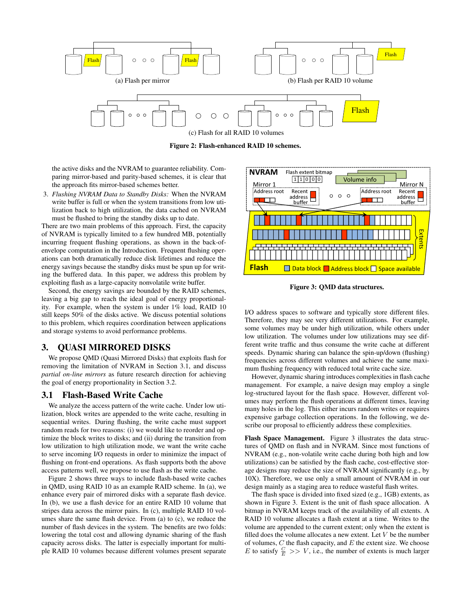

Figure 2: Flash-enhanced RAID 10 schemes.

the active disks and the NVRAM to guarantee reliability. Comparing mirror-based and parity-based schemes, it is clear that the approach fits mirror-based schemes better.

3. *Flushing NVRAM Data to Standby Disks:* When the NVRAM write buffer is full or when the system transitions from low utilization back to high utilization, the data cached on NVRAM must be flushed to bring the standby disks up to date.

There are two main problems of this approach. First, the capacity of NVRAM is typically limited to a few hundred MB, potentially incurring frequent flushing operations, as shown in the back-ofenvelope computation in the Introduction. Frequent flushing operations can both dramatically reduce disk lifetimes and reduce the energy savings because the standby disks must be spun up for writing the buffered data. In this paper, we address this problem by exploiting flash as a large-capacity nonvolatile write buffer.

Second, the energy savings are bounded by the RAID schemes, leaving a big gap to reach the ideal goal of energy proportionality. For example, when the system is under 1% load, RAID 10 still keeps 50% of the disks active. We discuss potential solutions to this problem, which requires coordination between applications and storage systems to avoid performance problems.

### 3. QUASI MIRRORED DISKS

We propose QMD (Quasi Mirrored Disks) that exploits flash for removing the limitation of NVRAM in Section 3.1, and discuss *partial on-line mirrors* as future research direction for achieving the goal of energy proportionality in Section 3.2.

#### 3.1 Flash-Based Write Cache

We analyze the access pattern of the write cache. Under low utilization, block writes are appended to the write cache, resulting in sequential writes. During flushing, the write cache must support random reads for two reasons: (i) we would like to reorder and optimize the block writes to disks; and (ii) during the transition from low utilization to high utilization mode, we want the write cache to serve incoming I/O requests in order to minimize the impact of flushing on front-end operations. As flash supports both the above access patterns well, we propose to use flash as the write cache.

Figure 2 shows three ways to include flash-based write caches in QMD, using RAID 10 as an example RAID scheme. In (a), we enhance every pair of mirrored disks with a separate flash device. In (b), we use a flash device for an entire RAID 10 volume that stripes data across the mirror pairs. In (c), multiple RAID 10 volumes share the same flash device. From (a) to (c), we reduce the number of flash devices in the system. The benefits are two folds: lowering the total cost and allowing dynamic sharing of the flash capacity across disks. The latter is especially important for multiple RAID 10 volumes because different volumes present separate



Figure 3: QMD data structures.

I/O address spaces to software and typically store different files. Therefore, they may see very different utilizations. For example, some volumes may be under high utilization, while others under low utilization. The volumes under low utilizations may see different write traffic and thus consume the write cache at different speeds. Dynamic sharing can balance the spin-up/down (flushing) frequencies across different volumes and achieve the same maximum flushing frequency with reduced total write cache size.

However, dynamic sharing introduces complexities in flash cache management. For example, a naive design may employ a single log-structured layout for the flash space. However, different volumes may perform the flush operations at different times, leaving many holes in the log. This either incurs random writes or requires expensive garbage collection operations. In the following, we describe our proposal to efficiently address these complexities.

Flash Space Management. Figure 3 illustrates the data structures of QMD on flash and in NVRAM. Since most functions of NVRAM (e.g., non-volatile write cache during both high and low utilizations) can be satisfied by the flash cache, cost-effective storage designs may reduce the size of NVRAM significantly (e.g., by 10X). Therefore, we use only a small amount of NVRAM in our design mainly as a staging area to reduce wasteful flash writes.

The flash space is divided into fixed sized (e.g., 1GB) extents, as shown in Figure 3. Extent is the unit of flash space allocation. A bitmap in NVRAM keeps track of the availability of all extents. A RAID 10 volume allocates a flash extent at a time. Writes to the volume are appended to the current extent; only when the extent is filled does the volume allocates a new extent. Let  $V$  be the number of volumes,  $C$  the flash capacity, and  $E$  the extent size. We choose E to satisfy  $\frac{C}{E} >> V$ , i.e., the number of extents is much larger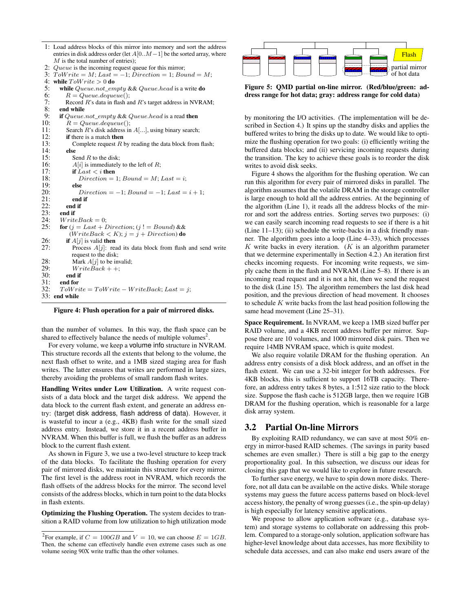```
1: Load address blocks of this mirror into memory and sort the address
     entries in disk address order (let A[0..M-1] be the sorted array, where
     M is the total number of entries);
 2: Queue is the incoming request queue for this mirror;
 3: T o Write = M; Last = -1; Direction = 1; Bound = M;4: while ToWrite > 0 do
 5: while Queue.not_empty && Queue.head is a write do
 6: R = Queue.dequeue();7: Record R's data in flash and R's target address in NVRAM;<br>8: end while
 8: end while<br>9: if Queue.
       if Queuenot\_empty && Queue.head is a read then
10: R = Queue.dequeue();<br>11: Search R's disk address in
          Search R's disk address in A[...], using binary search;
12: if there is a match then
13: Complete request R by reading the data block from flash;<br>14: else
14: else<br>15: s15: Send R to the disk;<br>16: A[i] is immediately
16: A[i] is immediately to the left of R;<br>17: if Last < i then
17: if \overline{L}ast < i then<br>18: Direction =
18: Direction = 1; Bound = M; Last = i;<br>19. else
19: else<br>20: \frac{1}{C}20: Direction = -1; Bound = -1; Last = i + 1;<br>21: end if
21: end if 22: end if
22: end if<br>23: end if
23: end if<br>24: Write24: WriteBack = 0;<br>25: for (j = Last + I)for (j = Last + Direction; (j != Bound) &&
           (WriteBack < K); j = j + Direction) do
26: if A[j] is valid then
27: Process A[j]: read its data block from flash and send write
            request to the disk;
28: Mark A[j] to be invalid;<br>29: WriteBack + +;29: WriteBack + +;<br>30: end if
          end if
31: end for<br>32: T\sigma WrT oWrite = T oWrite - WriteBack; Last = j;33: end while
```
Figure 4: Flush operation for a pair of mirrored disks.

than the number of volumes. In this way, the flash space can be shared to effectively balance the needs of multiple volumes<sup>2</sup>.

For every volume, we keep a volume info structure in NVRAM. This structure records all the extents that belong to the volume, the next flash offset to write, and a 1MB sized staging area for flash writes. The latter ensures that writes are performed in large sizes, thereby avoiding the problems of small random flash writes.

Handling Writes under Low Utilization. A write request consists of a data block and the target disk address. We append the data block to the current flash extent, and generate an address entry: (target disk address, flash address of data). However, it is wasteful to incur a (e.g., 4KB) flash write for the small sized address entry. Instead, we store it in a recent address buffer in NVRAM. When this buffer is full, we flush the buffer as an address block to the current flash extent.

As shown in Figure 3, we use a two-level structure to keep track of the data blocks. To facilitate the flushing operation for every pair of mirrored disks, we maintain this structure for every mirror. The first level is the address root in NVRAM, which records the flash offsets of the address blocks for the mirror. The second level consists of the address blocks, which in turn point to the data blocks in flash extents.

Optimizing the Flushing Operation. The system decides to transition a RAID volume from low utilization to high utilization mode



Figure 5: QMD partial on-line mirror. (Red/blue/green: address range for hot data; gray: address range for cold data)

by monitoring the I/O activities. (The implementation will be described in Section 4.) It spins up the standby disks and applies the buffered writes to bring the disks up to date. We would like to optimize the flushing operation for two goals: (i) efficiently writing the buffered data blocks; and (ii) servicing incoming requests during the transition. The key to achieve these goals is to reorder the disk writes to avoid disk seeks.

Figure 4 shows the algorithm for the flushing operation. We can run this algorithm for every pair of mirrored disks in parallel. The algorithm assumes that the volatile DRAM in the storage controller is large enough to hold all the address entries. At the beginning of the algorithm (Line 1), it reads all the address blocks of the mirror and sort the address entries. Sorting serves two purposes: (i) we can easily search incoming read requests to see if there is a hit (Line 11–13); (ii) schedule the write-backs in a disk friendly manner. The algorithm goes into a loop (Line 4–33), which processes  $K$  write backs in every iteration. ( $K$  is an algorithm parameter that we determine experimentally in Section 4.2.) An iteration first checks incoming requests. For incoming write requests, we simply cache them in the flash and NVRAM (Line 5–8). If there is an incoming read request and it is not a hit, then we send the request to the disk (Line 15). The algorithm remembers the last disk head position, and the previous direction of head movement. It chooses to schedule  $K$  write backs from the last head position following the same head movement (Line 25–31).

Space Requirement. In NVRAM, we keep a 1MB sized buffer per RAID volume, and a 4KB recent address buffer per mirror. Suppose there are 10 volumes, and 1000 mirrored disk pairs. Then we require 14MB NVRAM space, which is quite modest.

We also require volatile DRAM for the flushing operation. An address entry consists of a disk block address, and an offset in the flash extent. We can use a 32-bit integer for both addresses. For 4KB blocks, this is sufficient to support 16TB capacity. Therefore, an address entry takes 8 bytes, a 1:512 size ratio to the block size. Suppose the flash cache is 512GB large, then we require 1GB DRAM for the flushing operation, which is reasonable for a large disk array system.

#### 3.2 Partial On-line Mirrors

By exploiting RAID redundancy, we can save at most 50% energy in mirror-based RAID schemes. (The savings in parity based schemes are even smaller.) There is still a big gap to the energy proportionality goal. In this subsection, we discuss our ideas for closing this gap that we would like to explore in future research.

To further save energy, we have to spin down more disks. Therefore, not all data can be available on the active disks. While storage systems may guess the future access patterns based on block-level access history, the penalty of wrong guesses (i.e., the spin-up delay) is high especially for latency sensitive applications.

We propose to allow application software (e.g., database system) and storage systems to collaborate on addressing this problem. Compared to a storage-only solution, application software has higher-level knowledge about data accesses, has more flexibility to schedule data accesses, and can also make end users aware of the

<sup>&</sup>lt;sup>2</sup>For example, if  $C = 100GB$  and  $V = 10$ , we can choose  $E = 1GB$ . Then, the scheme can effectively handle even extreme cases such as one volume seeing 90X write traffic than the other volumes.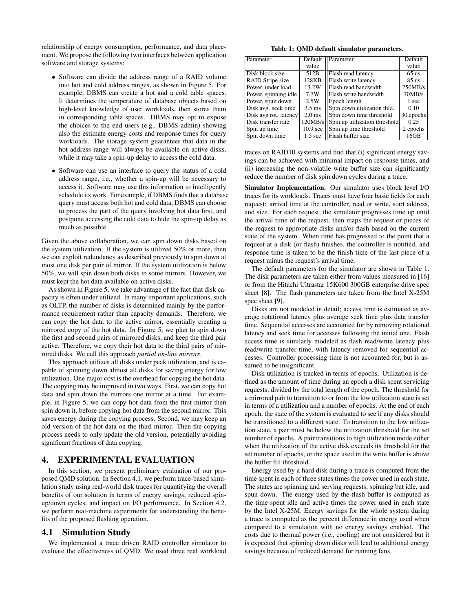relationship of energy consumption, performance, and data placement. We propose the following two interfaces between application software and storage systems:

- Software can divide the address range of a RAID volume into hot and cold address ranges, as shown in Figure 5. For example, DBMS can create a hot and a cold table spaces. It determines the temperature of database objects based on high-level knowledge of user workloads, then stores them in corresponding table spaces. DBMS may opt to expose the choices to the end users (e.g., DBMS admin) showing also the estimate energy costs and response times for query workloads. The storage system guarantees that data in the hot address range will always be available on active disks, while it may take a spin-up delay to access the cold data.
- Software can use an interface to query the status of a cold address range, i.e., whether a spin-up will be necessary to access it. Software may use this information to intelligently schedule its work. For example, if DBMS finds that a database query must access both hot and cold data, DBMS can choose to process the part of the query involving hot data first, and postpone accessing the cold data to hide the spin-up delay as much as possible.

Given the above collaboration, we can spin down disks based on the system utilization. If the system is utilized 50% or more, then we can exploit redundancy as described previously to spin down at most one disk per pair of mirror. If the system utilization is below 50%, we will spin down both disks in some mirrors. However, we must kept the hot data available on active disks.

As shown in Figure 5, we take advantage of the fact that disk capacity is often under utilized. In many important applications, such as OLTP, the number of disks is determined mainly by the performance requirement rather than capacity demands. Therefore, we can copy the hot data to the active mirror, essentially creating a mirrored copy of the hot data. In Figure 5, we plan to spin down the first and second pairs of mirrored disks, and keep the third pair active. Therefore, we copy their hot data to the third pairs of mirrored disks. We call this approach *partial on-line mirrors*.

This approach utilizes all disks under peak utilization, and is capable of spinning down almost all disks for saving energy for low utilization. One major cost is the overhead for copying the hot data. The copying may be improved in two ways. First, we can copy hot data and spin down the mirrors one mirror at a time. For example, in Figure 5, we can copy hot data from the first mirror then spin down it, before copying hot data from the second mirror. This saves energy during the copying process. Second, we may keep an old version of the hot data on the third mirror. Then the copying process needs to only update the old version, potentially avoiding significant fractions of data copying.

#### 4. EXPERIMENTAL EVALUATION

In this section, we present preliminary evaluation of our proposed QMD solution. In Section 4.1, we perform trace-based simulation study using real-world disk traces for quantifying the overall benefits of our solution in terms of energy savings, reduced spinup/down cycles, and impact on I/O performance. In Section 4.2, we perform real-machine experiments for understanding the benefits of the proposed flushing operation.

#### 4.1 Simulation Study

We implemented a trace driven RAID controller simulator to evaluate the effectiveness of QMD. We used three real workload

#### Table 1: QMD default simulator parameters.

| Parameter             | Default             | <b>Parameter</b>              | Default   |
|-----------------------|---------------------|-------------------------------|-----------|
|                       | value               |                               | value     |
| Disk block size       | 512B                | Flash read latency            | $65$ us   |
| RAID Stripe size      | 128KB               | Flash write latency           | $85$ us   |
| Power, under load     | 13.2W               | Flash read bandwidth          | 250MB/s   |
| Power, spinning idle  | 7.7W                | Flash write bandwidth         | 70MB/s    |
| Power, spun down      | 2.5W                | Epoch length                  | 1 sec     |
| Disk avg. seek time   | $3.5 \text{ ms}$    | Spin down utilization thld.   | 0.10      |
| Disk avg rot. latency | $2.0$ ms            | Spin down time threshold      | 30 epochs |
| Disk transfer rate    | 120MB/s             | Spin up utilization threshold | 0.25      |
| Spin up time          | 10.9 <sub>sec</sub> | Spin up time threshold        | 2 epochs  |
| Spin down time        | $1.5 \text{ sec}$   | Flash buffer size             | 16GB      |

traces on RAID10 systems and find that (i) significant energy savings can be achieved with minimal impact on response times, and (ii) increasing the non-volatile write buffer size can significantly reduce the number of disk spin down cycles during a trace.

Simulator Implementation. Our simulator uses block level I/O traces for its workloads. Traces must have four basic fields for each request: arrival time at the controller, read or write, start address, and size. For each request, the simulator progresses time up until the arrival time of the request, then maps the request or pieces of the request to appropriate disks and/or flash based on the current state of the system. When time has progressed to the point that a request at a disk (or flash) finishes, the controller is notified, and response time is taken to be the finish time of the last piece of a request minus the request's arrival time.

The default parameters for the simulator are shown in Table 1. The disk parameters are taken either from values measured in [16] or from the Hitachi Ultrastar 15K600 300GB enterprise drive spec sheet [8]. The flash parameters are taken from the Intel X-25M spec sheet [9].

Disks are not modeled in detail; access time is estimated as average rotational latency plus average seek time plus data transfer time. Sequential accesses are accounted for by removing rotational latency and seek time for accesses following the initial one. Flash access time is similarly modeled as flash read/write latency plus read/write transfer time, with latency removed for sequential accesses. Controller processing time is not accounted for, but is assumed to be insignificant.

Disk utilization is tracked in terms of epochs. Utilization is defined as the amount of time during an epoch a disk spent servicing requests, divided by the total length of the epoch. The threshold for a mirrored pair to transition to or from the low utilization state is set in terms of a utilization and a number of epochs. At the end of each epoch, the state of the system is evaluated to see if any disks should be transitioned to a different state. To transition to the low utilization state, a pair must be below the utilization threshold for the set number of epochs. A pair transitions to high utilization mode either when the utilization of the active disk exceeds its threshold for the set number of epochs, or the space used in the write buffer is above the buffer fill threshold.

Energy used by a hard disk during a trace is computed from the time spent in each of three states times the power used in each state. The states are spinning and serving requests, spinning but idle, and spun down. The energy used by the flash buffer is computed as the time spent idle and active times the power used in each state by the Intel X-25M. Energy savings for the whole system during a trace is computed as the percent difference in energy used when compared to a simulation with no energy savings enabled. The costs due to thermal power (i.e., cooling) are not considered but it is expected that spinning down disks will lead to additional energy savings because of reduced demand for running fans.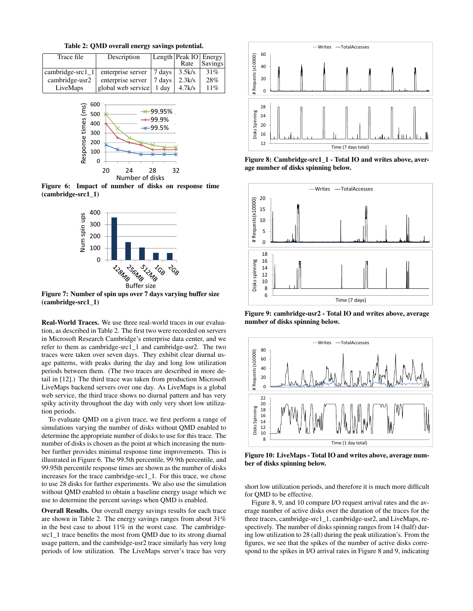Table 2: QMD overall energy savings potential.

| Trace file                                                             | Description        |        | Length Peak IO Energy<br>Rate | Savings |  |  |
|------------------------------------------------------------------------|--------------------|--------|-------------------------------|---------|--|--|
| cambridge-src1_1                                                       | enterprise server  | 7 days | 3.5k/s                        | 31%     |  |  |
| cambridge-usr2                                                         | enterprise server  | 7 days | 2.3k/s                        | 28%     |  |  |
| LiveMaps                                                               | global web service | 1 day  | 4.7k/s                        | 11%     |  |  |
| $\frac{600}{ }$<br>$\cdot$ $\cdot$ $\sim$ $\sim$ $\sim$ $\sim$ $\cdot$ |                    |        |                               |         |  |  |



Figure 6: Impact of number of disks on response time (cambridge-src1\_1)



Figure 7: Number of spin ups over 7 days varying buffer size (cambridge-src1\_1)

Real-World Traces. We use three real-world traces in our evaluation, as described in Table 2. The first two were recorded on servers in Microsoft Research Cambridge's enterprise data center, and we refer to them as cambridge-src1\_1 and cambridge-usr2. The two traces were taken over seven days. They exhibit clear diurnal usage patterns, with peaks during the day and long low utilization periods between them. (The two traces are described in more detail in [12].) The third trace was taken from production Microsoft LiveMaps backend servers over one day. As LiveMaps is a global web service, the third trace shows no diurnal pattern and has very spiky activity throughout the day with only very short low utilization periods.

To evaluate QMD on a given trace, we first perform a range of simulations varying the number of disks without QMD enabled to determine the appropriate number of disks to use for this trace. The number of disks is chosen as the point at which increasing the number further provides minimal response time improvements. This is illustrated in Figure 6. The 99.5th percentile, 99.9th percentile, and 99.95th percentile response times are shown as the number of disks increases for the trace cambridge-src1\_1. For this trace, we chose to use 28 disks for further experiments. We also use the simulation without QMD enabled to obtain a baseline energy usage which we use to determine the percent savings when QMD is enabled.

Overall Results. Our overall energy savings results for each trace are shown in Table 2. The energy savings ranges from about 31% in the best case to about  $11\%$  in the worst case. The cambridgesrc1\_1 trace benefits the most from QMD due to its strong diurnal usage pattern, and the cambridge-usr2 trace similarly has very long periods of low utilization. The LiveMaps server's trace has very



Figure 8: Cambridge-src1\_1 - Total IO and writes above, average number of disks spinning below.



Figure 9: cambridge-usr2 - Total IO and writes above, average number of disks spinning below.



Figure 10: LiveMaps - Total IO and writes above, average number of disks spinning below.

short low utilization periods, and therefore it is much more difficult for QMD to be effective.

Figure 8, 9, and 10 compare I/O request arrival rates and the average number of active disks over the duration of the traces for the three traces, cambridge-src1\_1, cambridge-usr2, and LiveMaps, respectively. The number of disks spinning ranges from 14 (half) during low utilization to 28 (all) during the peak utilization's. From the figures, we see that the spikes of the number of active disks correspond to the spikes in I/O arrival rates in Figure 8 and 9, indicating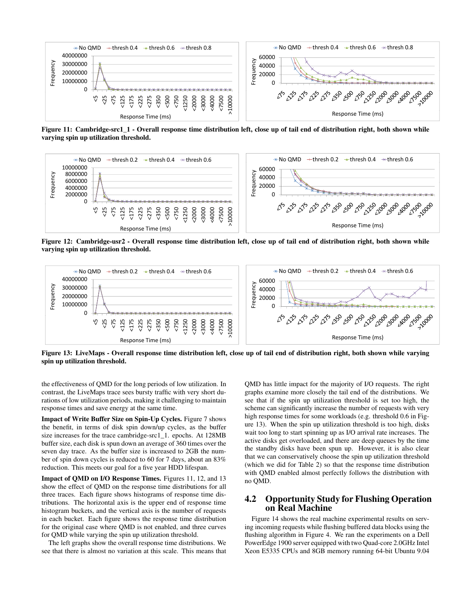

Figure 11: Cambridge-src1\_1 - Overall response time distribution left, close up of tail end of distribution right, both shown while varying spin up utilization threshold.



Figure 12: Cambridge-usr2 - Overall response time distribution left, close up of tail end of distribution right, both shown while varying spin up utilization threshold.



Figure 13: LiveMaps - Overall response time distribution left, close up of tail end of distribution right, both shown while varying spin up utilization threshold.

the effectiveness of QMD for the long periods of low utilization. In contrast, the LiveMaps trace sees bursty traffic with very short durations of low utilization periods, making it challenging to maintain response times and save energy at the same time.

Impact of Write Buffer Size on Spin-Up Cycles. Figure 7 shows the benefit, in terms of disk spin down/up cycles, as the buffer size increases for the trace cambridge-src1\_1. epochs. At 128MB buffer size, each disk is spun down an average of 360 times over the seven day trace. As the buffer size is increased to 2GB the number of spin down cycles is reduced to 60 for 7 days, about an 83% reduction. This meets our goal for a five year HDD lifespan.

Impact of QMD on I/O Response Times. Figures 11, 12, and 13 show the effect of QMD on the response time distributions for all three traces. Each figure shows histograms of response time distributions. The horizontal axis is the upper end of response time histogram buckets, and the vertical axis is the number of requests in each bucket. Each figure shows the response time distribution for the original case where QMD is not enabled, and three curves for QMD while varying the spin up utilization threshold.

The left graphs show the overall response time distributions. We see that there is almost no variation at this scale. This means that QMD has little impact for the majority of I/O requests. The right graphs examine more closely the tail end of the distributions. We see that if the spin up utilization threshold is set too high, the scheme can significantly increase the number of requests with very high response times for some workloads (e.g. threshold 0.6 in Figure 13). When the spin up utilization threshold is too high, disks wait too long to start spinning up as I/O arrival rate increases. The active disks get overloaded, and there are deep queues by the time the standby disks have been spun up. However, it is also clear that we can conservatively choose the spin up utilization threshold (which we did for Table 2) so that the response time distribution with QMD enabled almost perfectly follows the distribution with no QMD.

#### 4.2 Opportunity Study for Flushing Operation on Real Machine

Figure 14 shows the real machine experimental results on serving incoming requests while flushing buffered data blocks using the flushing algorithm in Figure 4. We ran the experiments on a Dell PowerEdge 1900 server equipped with two Quad-core 2.0GHz Intel Xeon E5335 CPUs and 8GB memory running 64-bit Ubuntu 9.04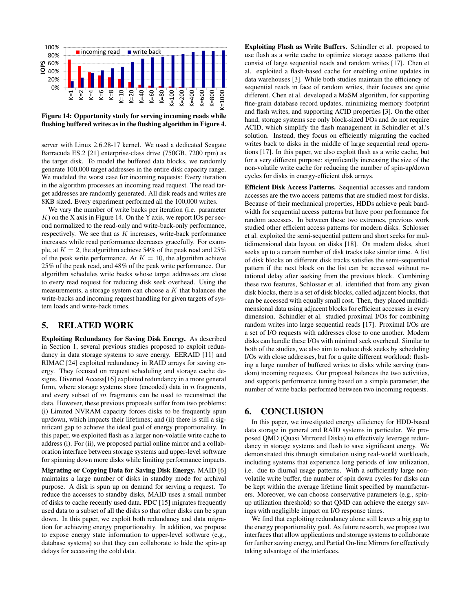

Figure 14: Opportunity study for serving incoming reads while flushing buffered writes as in the flushing algorithm in Figure 4.

server with Linux 2.6.28-17 kernel. We used a dedicated Seagate Barracuda ES.2 [21] enterprise-class drive (750GB, 7200 rpm) as the target disk. To model the buffered data blocks, we randomly generate 100,000 target addresses in the entire disk capacity range. We modeled the worst case for incoming requests: Every iteration in the algorithm processes an incoming read request. The read target addresses are randomly generated. All disk reads and writes are 8KB sized. Every experiment performed all the 100,000 writes.

We vary the number of write backs per iteration (i.e. parameter  $K$ ) on the X axis in Figure 14. On the Y axis, we report IOs per second normalized to the read-only and write-back-only performance, respectively. We see that as  $K$  increases, write-back performance increases while read performance decreases gracefully. For example, at  $K = 2$ , the algorithm achieve 54% of the peak read and 25% of the peak write performance. At  $K = 10$ , the algorithm achieve 25% of the peak read, and 48% of the peak write performance. Our algorithm schedules write backs whose target addresses are close to every read request for reducing disk seek overhead. Using the measurements, a storage system can choose a  $K$  that balances the write-backs and incoming request handling for given targets of system loads and write-back times.

### 5. RELATED WORK

Exploiting Redundancy for Saving Disk Energy. As described in Section 1, several previous studies proposed to exploit redundancy in data storage systems to save energy. EERAID [11] and RIMAC [24] exploited redundancy in RAID arrays for saving energy. They focused on request scheduling and storage cache designs. Diverted Access[16] exploited redundancy in a more general form, where storage systems store (encoded) data in  $n$  fragments, and every subset of m fragments can be used to reconstruct the data. However, these previous proposals suffer from two problems: (i) Limited NVRAM capacity forces disks to be frequently spun up/down, which impacts their lifetimes; and (ii) there is still a significant gap to achieve the ideal goal of energy proportionality. In this paper, we exploited flash as a larger non-volatile write cache to address (i). For (ii), we proposed partial online mirror and a collaboration interface between storage systems and upper-level software for spinning down more disks while limiting performance impacts.

Migrating or Copying Data for Saving Disk Energy. MAID [6] maintains a large number of disks in standby mode for archival purpose. A disk is spun up on demand for serving a request. To reduce the accesses to standby disks, MAID uses a small number of disks to cache recently used data. PDC [15] migrates frequently used data to a subset of all the disks so that other disks can be spun down. In this paper, we exploit both redundancy and data migration for achieving energy proportionality. In addition, we propose to expose energy state information to upper-level software (e.g., database systems) so that they can collaborate to hide the spin-up delays for accessing the cold data.

Exploiting Flash as Write Buffers. Schindler et al. proposed to use flash as a write cache to optimize storage access patterns that consist of large sequential reads and random writes [17]. Chen et al. exploited a flash-based cache for enabling online updates in data warehouses [3]. While both studies maintain the efficiency of sequential reads in face of random writes, their focuses are quite different. Chen et al. developed a MaSM algorithm, for supporting fine-grain database record updates, minimizing memory footprint and flash writes, and supporting ACID properties [3]. On the other hand, storage systems see only block-sized I/Os and do not require ACID, which simplify the flash management in Schindler et al.'s solution. Instead, they focus on efficiently migrating the cached writes back to disks in the middle of large sequential read operations [17]. In this paper, we also exploit flash as a write cache, but for a very different purpose: significantly increasing the size of the non-volatile write cache for reducing the number of spin-up/down cycles for disks in energy-efficient disk arrays.

Efficient Disk Access Patterns. Sequential accesses and random accesses are the two access patterns that are studied most for disks. Because of their mechanical properties, HDDs achieve peak bandwidth for sequential access patterns but have poor performance for random accesses. In between these two extremes, previous work studied other efficient access patterns for modern disks. Schlosser et al. exploited the semi-sequential pattern and short seeks for multidimensional data layout on disks [18]. On modern disks, short seeks up to a certain number of disk tracks take similar time. A list of disk blocks on different disk tracks satisfies the semi-sequential pattern if the next block on the list can be accessed without rotational delay after seeking from the previous block. Combining these two features, Schlosser et al. identified that from any given disk blocks, there is a set of disk blocks, called adjacent blocks, that can be accessed with equally small cost. Then, they placed multidimensional data using adjacent blocks for efficient accesses in every dimension. Schindler et al. studied proximal I/Os for combining random writes into large sequential reads [17]. Proximal I/Os are a set of I/O requests with addresses close to one another. Modern disks can handle these I/Os with minimal seek overhead. Similar to both of the studies, we also aim to reduce disk seeks by scheduling I/Os with close addresses, but for a quite different workload: flushing a large number of buffered writes to disks while serving (random) incoming requests. Our proposal balances the two activities, and supports performance tuning based on a simple parameter, the number of write backs performed between two incoming requests.

#### 6. CONCLUSION

In this paper, we investigated energy efficiency for HDD-based data storage in general and RAID systems in particular. We proposed QMD (Quasi Mirrored Disks) to effectively leverage redundancy in storage systems and flash to save significant energy. We demonstrated this through simulation using real-world workloads, including systems that experience long periods of low utilization, i.e. due to diurnal usage patterns. With a sufficiently large nonvolatile write buffer, the number of spin down cycles for disks can be kept within the average lifetime limit specified by manufacturers. Moreover, we can choose conservative parameters (e.g., spinup utilization threshold) so that QMD can achieve the energy savings with negligible impact on I/O response times.

We find that exploiting redundancy alone still leaves a big gap to the energy proportionality goal. As future research, we propose two interfaces that allow applications and storage systems to collaborate for further saving energy, and Partial On-line Mirrors for effectively taking advantage of the interfaces.